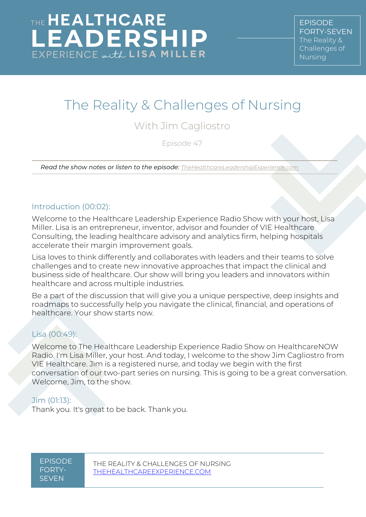# The Reality & Challenges of Nursing

## With Jim Cagliostro

Episode 47

*Read the show notes or listen to the episode: [TheHealthcareLeadershipExperience.com](http://thehealthcareleadershipexperience.com/)*

#### Introduction (00:02):

Welcome to the Healthcare Leadership Experience Radio Show with your host, Lisa Miller. Lisa is an entrepreneur, inventor, advisor and founder of VIE Healthcare Consulting, the leading healthcare advisory and analytics firm, helping hospitals accelerate their margin improvement goals.

Lisa loves to think differently and collaborates with leaders and their teams to solve challenges and to create new innovative approaches that impact the clinical and business side of healthcare. Our show will bring you leaders and innovators within healthcare and across multiple industries.

Be a part of the discussion that will give you a unique perspective, deep insights and roadmaps to successfully help you navigate the clinical, financial, and operations of healthcare. Your show starts now.

#### Lisa [\(00:49\)](https://www.rev.com/transcript-editor/Edit?token=DdZjXs2gECh9TdPXVhdcU4KgsAFxA8zSUv9E7Is2XY4ResGVc0kd4weEoRSyjhPX2uKVSNHGfgOcqYkC0cmA6mtLgHs&loadFrom=DocumentDeeplink&ts=49.28):

Welcome to The Healthcare Leadership Experience Radio Show on HealthcareNOW Radio. I'm Lisa Miller, your host. And today, I welcome to the show Jim Cagliostro from VIE Healthcare. Jim is a registered nurse, and today we begin with the first conversation of our two-part series on nursing. This is going to be a great conversation. Welcome, Jim, to the show.

#### Jim [\(01:13\)](https://www.rev.com/transcript-editor/Edit?token=Z8p79vHMwAEjTyUPruUO1lFE1eCSyq9lExR4Z1yv7PfC06KttuoU-jGsZtVx7K2sq5AkFwThtEIiLCYSqM30X_-I0t8&loadFrom=DocumentDeeplink&ts=73.06):

Thank you. It's great to be back. Thank you.

EPISODE FORTY-**SEVEN**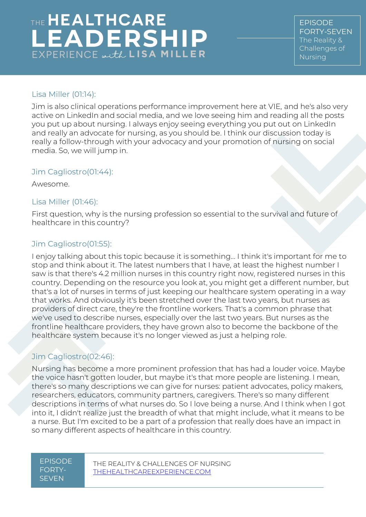EPISODE FORTY-SEVEN The Reality & Challenges of Nursing

#### Lisa Miller [\(01:14\)](https://www.rev.com/transcript-editor/Edit?token=EeOhzUD5GkRheplK2uAhTaHRBbXcDSyDLI9H1pud-vN8oZLDDLV6grTZEk5MGdpYlOUkQUALhduBXqY3yhWmEbm5aeQ&loadFrom=DocumentDeeplink&ts=74.01):

Jim is also clinical operations performance improvement here at VIE, and he's also very active on LinkedIn and social media, and we love seeing him and reading all the posts you put up about nursing. I always enjoy seeing everything you put out on LinkedIn and really an advocate for nursing, as you should be. I think our discussion today is really a follow-through with your advocacy and your promotion of nursing on social media. So, we will jump in.

#### Jim Cagliostro[\(01:44\)](https://www.rev.com/transcript-editor/Edit?token=zEVRprW4kFcPzRxH5giUkP_rt-yIBSbDRs9oY7-YMDXrTiUHStsaSVuef91nwX9lc4dEFsCJabomcNaACIPc2JIOLhw&loadFrom=DocumentDeeplink&ts=104.82):

Awesome.

#### Lisa Miller [\(01:46\)](https://www.rev.com/transcript-editor/Edit?token=KU7VMFOMOTXKFMbyY-X-UC23l_P38uwoX1cv0rorSnRtmlK3J0AfNKnQUQLu65uQ38qv_D6kaZXJIL0w_11axT0Y5KA&loadFrom=DocumentDeeplink&ts=106.12):

First question, why is the nursing profession so essential to the survival and future of healthcare in this country?

#### Jim Cagliostro[\(01:55\)](https://www.rev.com/transcript-editor/Edit?token=YzwvGbXXSnFe2ekreFxBB2DFPPbN6OnUyr5c4ktwYZtFJ5tPnKQ9GH8Uts04bvj6vsXKCTL_2n-Vk5qgtksoypFmhPg&loadFrom=DocumentDeeplink&ts=115.86):

I enjoy talking about this topic because it is something... I think it's important for me to stop and think about it. The latest numbers that I have, at least the highest number I saw is that there's 4.2 million nurses in this country right now, registered nurses in this country. Depending on the resource you look at, you might get a different number, but that's a lot of nurses in terms of just keeping our healthcare system operating in a way that works. And obviously it's been stretched over the last two years, but nurses as providers of direct care, they're the frontline workers. That's a common phrase that we've used to describe nurses, especially over the last two years. But nurses as the frontline healthcare providers, they have grown also to become the backbone of the healthcare system because it's no longer viewed as just a helping role.

#### Jim Cagliostro[\(02:46\)](https://www.rev.com/transcript-editor/Edit?token=uJY78dw-ZbPKoXQ__IwcLpcQYk1k-Uf5URb0gdr0_IZ_Amgme8Trc7svabcsYdUE5Stc0TWEFQw-gg-84dczKrFWAz4&loadFrom=DocumentDeeplink&ts=166.16):

Nursing has become a more prominent profession that has had a louder voice. Maybe the voice hasn't gotten louder, but maybe it's that more people are listening. I mean, there's so many descriptions we can give for nurses: patient advocates, policy makers, researchers, educators, community partners, caregivers. There's so many different descriptions in terms of what nurses do. So I love being a nurse. And I think when I got into it, I didn't realize just the breadth of what that might include, what it means to be a nurse. But I'm excited to be a part of a profession that really does have an impact in so many different aspects of healthcare in this country.

#### EPISODE FORTY-**SEVEN**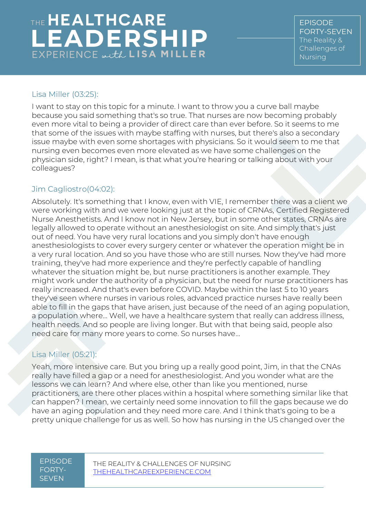EPISODE FORTY-SEVEN The Reality & Challenges of Nursing

#### Lisa Miller [\(03:25\)](https://www.rev.com/transcript-editor/Edit?token=6YxSbvukPJHoKKD_Fa0yMuGOWILQuJIoy78TeEq44GPrf8BflIK2DbBtEcFPg_2J1ugmIC9AlNpvkRafWq2TE9Q2MYk&loadFrom=DocumentDeeplink&ts=205.42):

I want to stay on this topic for a minute. I want to throw you a curve ball maybe because you said something that's so true. That nurses are now becoming probably even more vital to being a provider of direct care than ever before. So it seems to me that some of the issues with maybe staffing with nurses, but there's also a secondary issue maybe with even some shortages with physicians. So it would seem to me that nursing even becomes even more elevated as we have some challenges on the physician side, right? I mean, is that what you're hearing or talking about with your colleagues?

#### Jim Cagliostro[\(04:02\)](https://www.rev.com/transcript-editor/Edit?token=7cfNg0vCOSgsMVegK50wssHvuSNjR6oPp3ElETHI-nm0fyaEjx-ynesDjIgKGW9OCCiGAyLugChiThkM0mlNTELd-pU&loadFrom=DocumentDeeplink&ts=242.79):

Absolutely. It's something that I know, even with VIE, I remember there was a client we were working with and we were looking just at the topic of CRNAs, Certified Registered Nurse Anesthetists. And I know not in New Jersey, but in some other states, CRNAs are legally allowed to operate without an anesthesiologist on site. And simply that's just out of need. You have very rural locations and you simply don't have enough anesthesiologists to cover every surgery center or whatever the operation might be in a very rural location. And so you have those who are still nurses. Now they've had more training, they've had more experience and they're perfectly capable of handling whatever the situation might be, but nurse practitioners is another example. They might work under the authority of a physician, but the need for nurse practitioners has really increased. And that's even before COVID. Maybe within the last 5 to 10 years they've seen where nurses in various roles, advanced practice nurses have really been able to fill in the gaps that have arisen, just because of the need of an aging population, a population where... Well, we have a healthcare system that really can address illness, health needs. And so people are living longer. But with that being said, people also need care for many more years to come. So nurses have…

#### Lisa Miller [\(05:21\)](https://www.rev.com/transcript-editor/Edit?token=xknPAfCP4VdBGWVQyrGK35kIe4rHpRMqVFJrsmtIXN5auaMy_SDv1T-3zRZNO77XRCtUATWXb2H2xGw2ukTpr4qkMR0&loadFrom=DocumentDeeplink&ts=321.53):

Yeah, more intensive care. But you bring up a really good point, Jim, in that the CNAs really have filled a gap or a need for anesthesiologist. And you wonder what are the lessons we can learn? And where else, other than like you mentioned, nurse practitioners, are there other places within a hospital where something similar like that can happen? I mean, we certainly need some innovation to fill the gaps because we do have an aging population and they need more care. And I think that's going to be a pretty unique challenge for us as well. So how has nursing in the US changed over the

#### EPISODE FORTY-**SEVEN**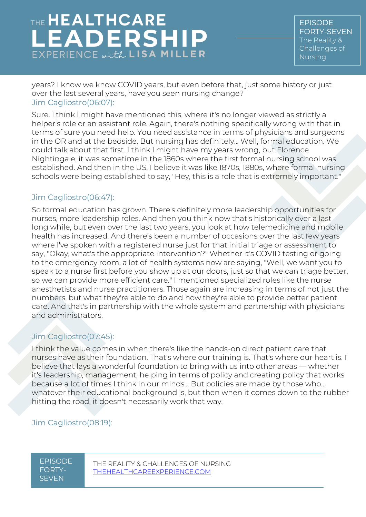EPISODE FORTY-SEVEN The Reality & Challenges of Nursing

years? I know we know COVID years, but even before that, just some history or just over the last several years, have you seen nursing change? Jim Cagliostro[\(06:07\)](https://www.rev.com/transcript-editor/Edit?token=K3Pn8Vv_lKm8l7xO3nJo_BvgOCuP6rNqbGmQ9tzzyxLIPLXLSrHIWVaeDutx-u-oVm0Wx7ULzrO1XPKjs81AICK6EyY&loadFrom=DocumentDeeplink&ts=367.01):

Sure. I think I might have mentioned this, where it's no longer viewed as strictly a helper's role or an assistant role. Again, there's nothing specifically wrong with that in terms of sure you need help. You need assistance in terms of physicians and surgeons in the OR and at the bedside. But nursing has definitely... Well, formal education. We could talk about that first. I think I might have my years wrong, but Florence Nightingale, it was sometime in the 1860s where the first formal nursing school was established. And then in the US, I believe it was like 1870s, 1880s, where formal nursing schools were being established to say, "Hey, this is a role that is extremely important."

#### Jim Cagliostro[\(06:47\)](https://www.rev.com/transcript-editor/Edit?token=URiw6dIw6H74AuI9aavj8s68b_ltATrLWrBnw5FRAJB7i61hZQfLcHl_OZ8_2O0Xddb2dhDr0tbtiy_GhSsbwQ8eH4g&loadFrom=DocumentDeeplink&ts=407.57):

So formal education has grown. There's definitely more leadership opportunities for nurses, more leadership roles. And then you think now that's historically over a last long while, but even over the last two years, you look at how telemedicine and mobile health has increased. And there's been a number of occasions over the last few years where I've spoken with a registered nurse just for that initial triage or assessment to say, "Okay, what's the appropriate intervention?" Whether it's COVID testing or going to the emergency room, a lot of health systems now are saying, "Well, we want you to speak to a nurse first before you show up at our doors, just so that we can triage better, so we can provide more efficient care." I mentioned specialized roles like the nurse anesthetists and nurse practitioners. Those again are increasing in terms of not just the numbers, but what they're able to do and how they're able to provide better patient care. And that's in partnership with the whole system and partnership with physicians and administrators.

#### Jim Cagliostro[\(07:45\)](https://www.rev.com/transcript-editor/Edit?token=oBTuT1_nEhHRCReUJUl9WMVsMQlWBzmfNItKJHpp4khzt4nw0YEliDo7OtMLUEWMyVuCcRGL5m3gU5qK9nVvuP4Q344&loadFrom=DocumentDeeplink&ts=465.7):

I think the value comes in when there's like the hands-on direct patient care that nurses have as their foundation. That's where our training is. That's where our heart is. I believe that lays a wonderful foundation to bring with us into other areas — whether it's leadership, management, helping in terms of policy and creating policy that works because a lot of times I think in our minds... But policies are made by those who... whatever their educational background is, but then when it comes down to the rubber hitting the road, it doesn't necessarily work that way.

#### Jim Cagliostro[\(08:19\)](https://www.rev.com/transcript-editor/Edit?token=6i8VUULZjq0r5nbg5HPJkQoHKSdIMaTX1PLt51sQ_tDsyRj8UNV8_tZR4_r-PIsR0aWSPn5GB0uv-5UrnXouJnfT52o&loadFrom=DocumentDeeplink&ts=499.16):

EPISODE FORTY-**SEVEN**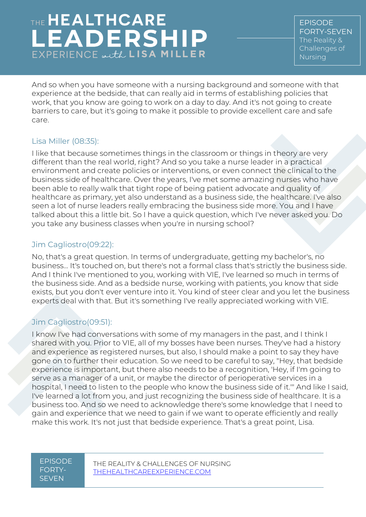EPISODE FORTY-SEVEN The Reality & Challenges of Nursing

And so when you have someone with a nursing background and someone with that experience at the bedside, that can really aid in terms of establishing policies that work, that you know are going to work on a day to day. And it's not going to create barriers to care, but it's going to make it possible to provide excellent care and safe care.

#### Lisa Miller [\(08:35\)](https://www.rev.com/transcript-editor/Edit?token=7ZGkedYGYJK5Z0ur5oGiZhPQhSRHjoojZPIL4ykprYQid01aYFvMQWOXzWJmCtFTIbJAJpWCrC_BFdqnBF6pKh0gyeo&loadFrom=DocumentDeeplink&ts=515.71):

I like that because sometimes things in the classroom or things in theory are very different than the real world, right? And so you take a nurse leader in a practical environment and create policies or interventions, or even connect the clinical to the business side of healthcare. Over the years, I've met some amazing nurses who have been able to really walk that tight rope of being patient advocate and quality of healthcare as primary, yet also understand as a business side, the healthcare. I've also seen a lot of nurse leaders really embracing the business side more. You and I have talked about this a little bit. So I have a quick question, which I've never asked you. Do you take any business classes when you're in nursing school?

#### Jim Cagliostro[\(09:22\)](https://www.rev.com/transcript-editor/Edit?token=9arxFTfk61ZneATbz4D6bKzRH8Xy6LkcfDTEHqNXfx8wJ9BPFQLUqlyuQe1hmM4FI8ozgPaH4yDcv7CVDzlcQZGWEeg&loadFrom=DocumentDeeplink&ts=562.97):

No, that's a great question. In terms of undergraduate, getting my bachelor's, no business... It's touched on, but there's not a formal class that's strictly the business side. And I think I've mentioned to you, working with VIE, I've learned so much in terms of the business side. And as a bedside nurse, working with patients, you know that side exists, but you don't ever venture into it. You kind of steer clear and you let the business experts deal with that. But it's something I've really appreciated working with VIE.

#### Jim Cagliostro[\(09:51\)](https://www.rev.com/transcript-editor/Edit?token=aiz8FqtFCwgHigBJALgvuvfFKF4jVQfh647hD9x9fShzjArhUSPBvgfVFDisOpiB0En6AcZTA8H_mW7g9NZLIGi5k2c&loadFrom=DocumentDeeplink&ts=591.82):

I know I've had conversations with some of my managers in the past, and I think I shared with you. Prior to VIE, all of my bosses have been nurses. They've had a history and experience as registered nurses, but also, I should make a point to say they have gone on to further their education. So we need to be careful to say, "Hey, that bedside experience is important, but there also needs to be a recognition, 'Hey, if I'm going to serve as a manager of a unit, or maybe the director of perioperative services in a hospital, I need to listen to the people who know the business side of it.'" And like I said, I've learned a lot from you, and just recognizing the business side of healthcare. It is a business too. And so we need to acknowledge there's some knowledge that I need to gain and experience that we need to gain if we want to operate efficiently and really make this work. It's not just that bedside experience. That's a great point, Lisa.

#### EPISODE FORTY-**SEVEN**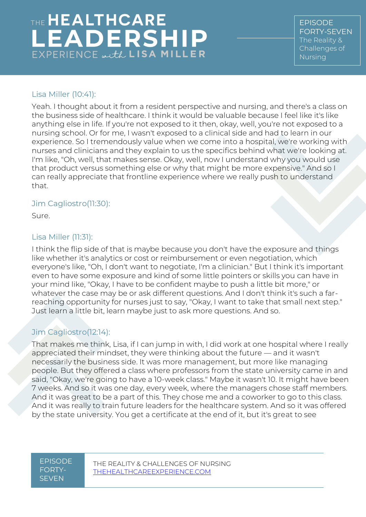EPISODE FORTY-SEVEN The Reality & Challenges of Nursing

#### Lisa Miller [\(10:41\)](https://www.rev.com/transcript-editor/Edit?token=7zM0vRXL4oaH6WHYt1bYbfxu974a8_LljpeMoX_VV9i9A_v6JO7II83VmTzpqkYLZdw7Yg2SRnU-21hctXSWZc3GCsM&loadFrom=DocumentDeeplink&ts=641.95):

Yeah. I thought about it from a resident perspective and nursing, and there's a class on the business side of healthcare. I think it would be valuable because I feel like it's like anything else in life. If you're not exposed to it then, okay, well, you're not exposed to a nursing school. Or for me, I wasn't exposed to a clinical side and had to learn in our experience. So I tremendously value when we come into a hospital, we're working with nurses and clinicians and they explain to us the specifics behind what we're looking at. I'm like, "Oh, well, that makes sense. Okay, well, now I understand why you would use that product versus something else or why that might be more expensive." And so I can really appreciate that frontline experience where we really push to understand that.

#### Jim Cagliostro[\(11:30\)](https://www.rev.com/transcript-editor/Edit?token=mZfjzr5kvvArmLygvq2uJ3z06szMugvLXJnRBeaj8K__I75i-achXkMkVwkNvhez3ZApXF7ADMYHrjE3s8WVFKhywUE&loadFrom=DocumentDeeplink&ts=690.54):

Sure.

#### Lisa Miller [\(11:31\)](https://www.rev.com/transcript-editor/Edit?token=hnzyjFnVgdltbgqo--JXQlZ4ZIihtx6LuCPQ0km7QnCm87LPKkWOogNs6l-LcO6LceaNMo7iH82AaJ2Qh1Qi9aktZZc&loadFrom=DocumentDeeplink&ts=691.57):

I think the flip side of that is maybe because you don't have the exposure and things like whether it's analytics or cost or reimbursement or even negotiation, which everyone's like, "Oh, I don't want to negotiate, I'm a clinician." But I think it's important even to have some exposure and kind of some little pointers or skills you can have in your mind like, "Okay, I have to be confident maybe to push a little bit more," or whatever the case may be or ask different questions. And I don't think it's such a farreaching opportunity for nurses just to say, "Okay, I want to take that small next step." Just learn a little bit, learn maybe just to ask more questions. And so.

#### Jim Cagliostro[\(12:14\)](https://www.rev.com/transcript-editor/Edit?token=9wCQ1rhlOFVg6xiB5kVW-1rMl9gLcBD8RdPmOKqpCvIMbRhunXLjPDjazi7IEc78sP1uFOziWdLi_1Jpz4f_MdYCiaE&loadFrom=DocumentDeeplink&ts=734.61):

That makes me think, Lisa, if I can jump in with, I did work at one hospital where I really appreciated their mindset, they were thinking about the future — and it wasn't necessarily the business side. It was more management, but more like managing people. But they offered a class where professors from the state university came in and said, "Okay, we're going to have a 10-week class." Maybe it wasn't 10. It might have been 7 weeks. And so it was one day, every week, where the managers chose staff members. And it was great to be a part of this. They chose me and a coworker to go to this class. And it was really to train future leaders for the healthcare system. And so it was offered by the state university. You get a certificate at the end of it, but it's great to see

#### EPISODE FORTY-**SEVEN**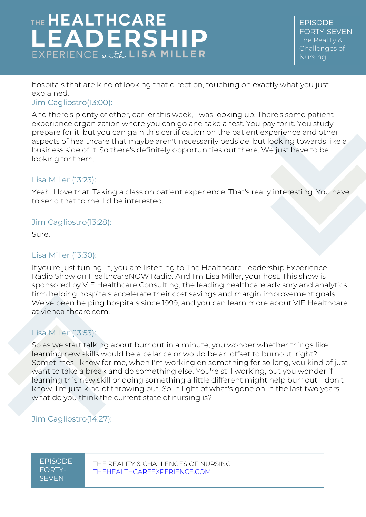EPISODE FORTY-SEVEN The Reality & Challenges of Nursing

hospitals that are kind of looking that direction, touching on exactly what you just explained.

#### Jim Cagliostro[\(13:00\)](https://www.rev.com/transcript-editor/Edit?token=TUJLI-3mmPibh8eoMvaxVD--m6UgD25znCzv0mT3IhrwxpPVLfxu5MK0_7NnhtWzzrUdZKHjnpJnaNnD-rH0UDoY8mo&loadFrom=DocumentDeeplink&ts=780.94):

And there's plenty of other, earlier this week, I was looking up. There's some patient experience organization where you can go and take a test. You pay for it. You study prepare for it, but you can gain this certification on the patient experience and other aspects of healthcare that maybe aren't necessarily bedside, but looking towards like a business side of it. So there's definitely opportunities out there. We just have to be looking for them.

#### Lisa Miller [\(13:23\)](https://www.rev.com/transcript-editor/Edit?token=aFACW4-E84N07Zr74HX5RbcOG24ln9W9L5byf4OEZ4FAtrQX8uqQnwN1zkyjSCJe7YKYNf_IUy7j7B0jXjMj4bYWnNg&loadFrom=DocumentDeeplink&ts=803.72):

Yeah. I love that. Taking a class on patient experience. That's really interesting. You have to send that to me. I'd be interested.

#### Jim Cagliostro[\(13:28\)](https://www.rev.com/transcript-editor/Edit?token=dI-TD_aMTzBbKcQC7DW6kmTwAIUz0cOGdR-sx7X3zKIJeocksWTfgtZw0j9r7Zwqu4uVHPyEZZ2W7ux5mdvy2SewSQw&loadFrom=DocumentDeeplink&ts=808.11):

Sure.

#### Lisa Miller [\(13:30\)](https://www.rev.com/transcript-editor/Edit?token=LX7Gw3To8Ci7UDHh2_qrgT8V6zyLby5LRuxiZrgSOIfxH3o-_tEm2IoLSzI2gdg6IqGvdsr5vW0CZVS72dp8erLDVxs&loadFrom=DocumentDeeplink&ts=810.32):

If you're just tuning in, you are listening to The Healthcare Leadership Experience Radio Show on HealthcareNOW Radio. And I'm Lisa Miller, your host. This show is sponsored by VIE Healthcare Consulting, the leading healthcare advisory and analytics firm helping hospitals accelerate their cost savings and margin improvement goals. We've been helping hospitals since 1999, and you can learn more about VIE Healthcare at viehealthcare.com.

#### Lisa Miller [\(13:53\)](https://www.rev.com/transcript-editor/Edit?token=EnD0Q6vhB3NTP7tLDAhJxFVRee8TW0oaRyOfxSJXLC-nDOVx3mI6YLA1WKe7IKz5q9BmlgwY6tK69mTWhkSnVx5t_NU&loadFrom=DocumentDeeplink&ts=833.55):

So as we start talking about burnout in a minute, you wonder whether things like learning new skills would be a balance or would be an offset to burnout, right? Sometimes I know for me, when I'm working on something for so long, you kind of just want to take a break and do something else. You're still working, but you wonder if learning this new skill or doing something a little different might help burnout. I don't know. I'm just kind of throwing out. So in light of what's gone on in the last two years, what do you think the current state of nursing is?

#### Jim Cagliostro[\(14:27\)](https://www.rev.com/transcript-editor/Edit?token=NiPs6rh1a-GWaShmwgs08SajUs9bnqTymRyIP8rnyFoSfMz5TkFwBG_aT4dlsRKLIqACwkr_25dBjLamWZj2F2AChaw&loadFrom=DocumentDeeplink&ts=867.97):

EPISODE FORTY-SEVEN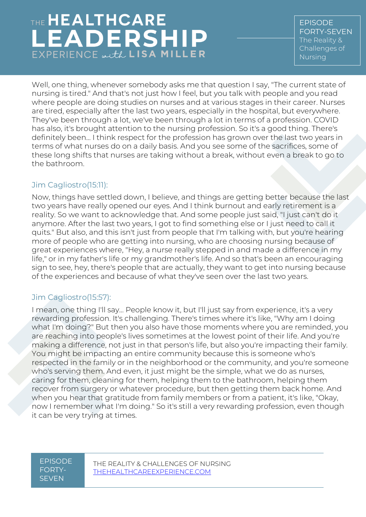## THE HEALTHCARE **LEADERSHIP**  $EXPERIENCE \omega, tL$  LISA MILLER

EPISODE FORTY-SEVEN The Reality & Challenges of Nursing

Well, one thing, whenever somebody asks me that question I say, "The current state of nursing is tired." And that's not just how I feel, but you talk with people and you read where people are doing studies on nurses and at various stages in their career. Nurses are tired, especially after the last two years, especially in the hospital, but everywhere. They've been through a lot, we've been through a lot in terms of a profession. COVID has also, it's brought attention to the nursing profession. So it's a good thing. There's definitely been... I think respect for the profession has grown over the last two years in terms of what nurses do on a daily basis. And you see some of the sacrifices, some of these long shifts that nurses are taking without a break, without even a break to go to the bathroom.

#### Jim Cagliostro[\(15:11\)](https://www.rev.com/transcript-editor/Edit?token=4rJBpzlq5SiH0NVnEG6v0fMVoWU4HpAC7vWSBIQFfT55HNpETPmlOrHCDeQykAOD-j2ldGBZPXHQrwRybPKAdAt3gys&loadFrom=DocumentDeeplink&ts=911.83):

Now, things have settled down, I believe, and things are getting better because the last two years have really opened our eyes. And I think burnout and early retirement is a reality. So we want to acknowledge that. And some people just said, "I just can't do it anymore. After the last two years, I got to find something else or I just need to call it quits." But also, and this isn't just from people that I'm talking with, but you're hearing more of people who are getting into nursing, who are choosing nursing because of great experiences where, "Hey, a nurse really stepped in and made a difference in my life," or in my father's life or my grandmother's life. And so that's been an encouraging sign to see, hey, there's people that are actually, they want to get into nursing because of the experiences and because of what they've seen over the last two years.

#### Jim Cagliostro[\(15:57\)](https://www.rev.com/transcript-editor/Edit?token=Lk_7y5SsxlrDpS_aIdODFgaVAWkVPEMSPrWCW9vwyLqiPOIVcbVQovn_fNerQDgjN0xNJXt_x8NZc4UfRGok3vuxwpc&loadFrom=DocumentDeeplink&ts=957.78):

I mean, one thing I'll say... People know it, but I'll just say from experience, it's a very rewarding profession. It's challenging. There's times where it's like, "Why am I doing what I'm doing?" But then you also have those moments where you are reminded, you are reaching into people's lives sometimes at the lowest point of their life. And you're making a difference, not just in that person's life, but also you're impacting their family. You might be impacting an entire community because this is someone who's respected in the family or in the neighborhood or the community, and you're someone who's serving them. And even, it just might be the simple, what we do as nurses, caring for them, cleaning for them, helping them to the bathroom, helping them recover from surgery or whatever procedure, but then getting them back home. And when you hear that gratitude from family members or from a patient, it's like, "Okay, now I remember what I'm doing." So it's still a very rewarding profession, even though it can be very trying at times.

#### EPISODE FORTY-**SEVEN**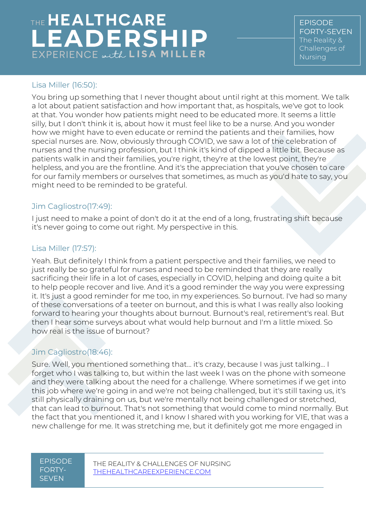EPISODE FORTY-SEVEN The Reality & Challenges of Nursing

#### Lisa Miller [\(16:50\)](https://www.rev.com/transcript-editor/Edit?token=2P_DkyFaHh3qDBbXaCp1FMzeLZ3VfpwMP2KsaapXQLbP78VJpFzzkqsYlNdRQqMdkChyYs_R-STzI_-uVCQrffsfhZo&loadFrom=DocumentDeeplink&ts=1010.98):

You bring up something that I never thought about until right at this moment. We talk a lot about patient satisfaction and how important that, as hospitals, we've got to look at that. You wonder how patients might need to be educated more. It seems a little silly, but I don't think it is, about how it must feel like to be a nurse. And you wonder how we might have to even educate or remind the patients and their families, how special nurses are. Now, obviously through COVID, we saw a lot of the celebration of nurses and the nursing profession, but I think it's kind of dipped a little bit. Because as patients walk in and their families, you're right, they're at the lowest point, they're helpless, and you are the frontline. And it's the appreciation that you've chosen to care for our family members or ourselves that sometimes, as much as you'd hate to say, you might need to be reminded to be grateful.

#### Jim Cagliostro[\(17:49\)](https://www.rev.com/transcript-editor/Edit?token=vnVMz4t2VVGC4E9yLShoaCXVgUGPju7L2KNceXLXgTfkdesfU0mdGJoPFh89WOyJHhNcKyoWwh_Nnv1lOc7EQgt7lvE&loadFrom=DocumentDeeplink&ts=1069.14):

I just need to make a point of don't do it at the end of a long, frustrating shift because it's never going to come out right. My perspective in this.

#### Lisa Miller [\(17:57\)](https://www.rev.com/transcript-editor/Edit?token=ZOWls2EAasNBfsV2hMJiQK4tdr6UwA0MwlBrM-M2VXyWMh7cWOOHS_XKg2WsZoeLfaWEcuuNPOWN0-A9c7okH2LjovQ&loadFrom=DocumentDeeplink&ts=1077.97):

Yeah. But definitely I think from a patient perspective and their families, we need to just really be so grateful for nurses and need to be reminded that they are really sacrificing their life in a lot of cases, especially in COVID, helping and doing quite a bit to help people recover and live. And it's a good reminder the way you were expressing it. It's just a good reminder for me too, in my experiences. So burnout. I've had so many of these conversations of a teeter on burnout, and this is what I was really also looking forward to hearing your thoughts about burnout. Burnout's real, retirement's real. But then I hear some surveys about what would help burnout and I'm a little mixed. So how real is the issue of burnout?

#### Jim Cagliostro[\(18:46\)](https://www.rev.com/transcript-editor/Edit?token=x2H9khf5H-WVU-8uYXSaTEwGvEonqk_MncCvJH6pBL1ZrfgfLfyLofliXeyokLL4WhmtmlyRL8CSyq4LLgbL36uKoCc&loadFrom=DocumentDeeplink&ts=1126.87):

Sure. Well, you mentioned something that… it's crazy, because I was just talking... I forget who I was talking to, but within the last week I was on the phone with someone and they were talking about the need for a challenge. Where sometimes if we get into this job where we're going in and we're not being challenged, but it's still taxing us, it's still physically draining on us, but we're mentally not being challenged or stretched, that can lead to burnout. That's not something that would come to mind normally. But the fact that you mentioned it, and I know I shared with you working for VIE, that was a new challenge for me. It was stretching me, but it definitely got me more engaged in

EPISODE FORTY-**SEVEN**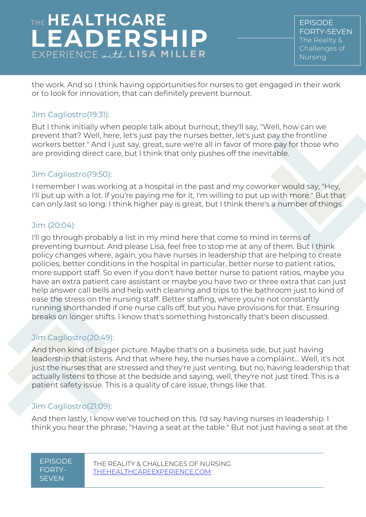EPISODE FORTY-SEVEN The Reality & Challenges of Nursing

the work. And so I think having opportunities for nurses to get engaged in their work or to look for innovation, that can definitely prevent burnout.

#### Jim Cagliostro[\(19:31\)](https://www.rev.com/transcript-editor/Edit?token=V6eQ8OucN_wZ0XZBx-u8w8LVtjM9HqRyGDRD48io-gzuLzpjkrhAJ0htyYn1jK2uAaVWBeTUb2jnuB8omtNIdQrgrIQ&loadFrom=DocumentDeeplink&ts=1171.42):

But I think initially when people talk about burnout, they'll say, "Well, how can we prevent that? Well, here, let's just pay the nurses better, let's just pay the frontline workers better." And I just say, great, sure we're all in favor of more pay for those who are providing direct care, but I think that only pushes off the inevitable.

#### Jim Cagliostro[\(19:50\)](https://www.rev.com/transcript-editor/Edit?token=gYIVbVanJH4QPH6gjFrtas2NpxDdO5NGB2SKDpz106eQwXsqWsXmMMlK_EnCqc5qB4RV7EyxRrTBqh1I5MOSlBIGobQ&loadFrom=DocumentDeeplink&ts=1190.23):

I remember I was working at a hospital in the past and my coworker would say, "Hey, I'll put up with a lot. If you're paying me for it, I'm willing to put up with more." But that can only last so long. I think higher pay is great, but I think there's a number of things.

#### Jim [\(20:04\)](https://www.rev.com/transcript-editor/Edit?token=JbEkzC1DBntw2ZnPsU5dgaJeIa2L5DKrPqnaB6Y7e9d-3tXbiLesqA7VW3RSCBKEyk0u1P2CfDoKuvkviha5CeZWwRY&loadFrom=DocumentDeeplink&ts=1204.74):

I'll go through probably a list in my mind here that come to mind in terms of preventing burnout. And please Lisa, feel free to stop me at any of them. But I think policy changes where, again, you have nurses in leadership that are helping to create policies, better conditions in the hospital in particular, better nurse to patient ratios, more support staff. So even if you don't have better nurse to patient ratios, maybe you have an extra patient care assistant or maybe you have two or three extra that can just help answer call bells and help with cleaning and trips to the bathroom just to kind of ease the stress on the nursing staff. Better staffing, where you're not constantly running shorthanded if one nurse calls off, but you have provisions for that. Ensuring breaks on longer shifts. I know that's something historically that's been discussed.

#### Jim Cagliostro[\(20:49\)](https://www.rev.com/transcript-editor/Edit?token=3E6nirfFNvSBK9KxYfWv5Pa_rTVFQlYROxcfHu_U_AbIYUikmEH5n34UaUUHDHC99Z__CHq2hWOOKx0_YZNBIZ5nluw&loadFrom=DocumentDeeplink&ts=1249.38):

And then kind of bigger picture. Maybe that's on a business side, but just having leadership that listens. And that where hey, the nurses have a complaint... Well, it's not just the nurses that are stressed and they're just venting, but no, having leadership that actually listens to those at the bedside and saying, well, they're not just tired. This is a patient safety issue. This is a quality of care issue, things like that.

#### Jim Cagliostro[\(21:09\)](https://www.rev.com/transcript-editor/Edit?token=GBs9xuIVUYS3M7P7SsF1J0-BHgdKwSsgMfDcItcIiVyn4kXunKX-kqFTBFAyqzF8uIsFtHMrKiz0SLHBfljA5VvtbD0&loadFrom=DocumentDeeplink&ts=1269.76):

And then lastly, I know we've touched on this. I'd say having nurses in leadership. I think you hear the phrase, "Having a seat at the table." But not just having a seat at the

#### EPISODE FORTY-**SEVEN**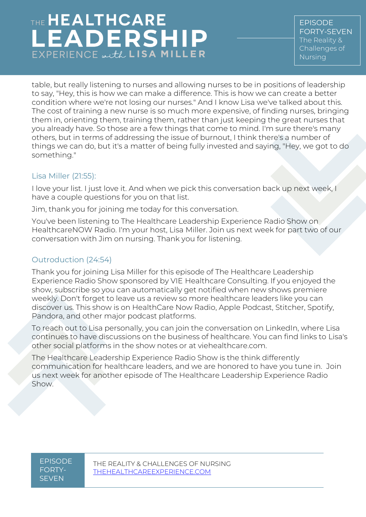EPISODE FORTY-SEVEN The Reality & Challenges of Nursing

table, but really listening to nurses and allowing nurses to be in positions of leadership to say, "Hey, this is how we can make a difference. This is how we can create a better condition where we're not losing our nurses." And I know Lisa we've talked about this. The cost of training a new nurse is so much more expensive, of finding nurses, bringing them in, orienting them, training them, rather than just keeping the great nurses that you already have. So those are a few things that come to mind. I'm sure there's many others, but in terms of addressing the issue of burnout, I think there's a number of things we can do, but it's a matter of being fully invested and saying, "Hey, we got to do something."

#### Lisa Miller [\(21:55\)](https://www.rev.com/transcript-editor/Edit?token=UPpaT_ZF_3YB22g5wsUJSFQh3pvNLTO4Epmjcc8S1_GsW7A5DlrUZjtqh6xNVJ0vo4j5q8hJlwUsqZa-mvpFFZlr0Oo&loadFrom=DocumentDeeplink&ts=1315.43):

I love your list. I just love it. And when we pick this conversation back up next week, I have a couple questions for you on that list.

Jim, thank you for joining me today for this conversation.

You've been listening to The Healthcare Leadership Experience Radio Show on HealthcareNOW Radio. I'm your host, Lisa Miller. Join us next week for part two of our conversation with Jim on nursing. Thank you for listening.

#### Outroduction (24:54)

Thank you for joining Lisa Miller for this episode of The Healthcare Leadership Experience Radio Show sponsored by VIE Healthcare Consulting. If you enjoyed the show, subscribe so you can automatically get notified when new shows premiere weekly. Don't forget to leave us a review so more healthcare leaders like you can discover us. This show is on HealthCare Now Radio, Apple Podcast, Stitcher, Spotify, Pandora, and other major podcast platforms.

To reach out to Lisa personally, you can join the conversation on LinkedIn, where Lisa continues to have discussions on the business of healthcare. You can find links to Lisa's other social platforms in the show notes or at viehealthcare.com.

The Healthcare Leadership Experience Radio Show is the think differently communication for healthcare leaders, and we are honored to have you tune in. Join us next week for another episode of The Healthcare Leadership Experience Radio Show.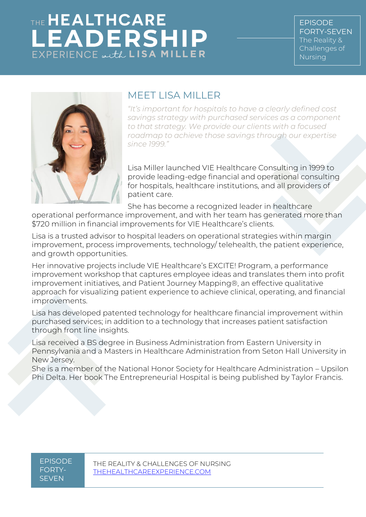EPISODE FORTY-SEVEN The Reality & Challenges of Nursing



### MEET LISA MILLER

*"It's important for hospitals to have a clearly defined cost savings strategy with purchased services as a component to that strategy. We provide our clients with a focused roadmap to achieve those savings through our expertise since 1999."*

Lisa Miller launched VIE Healthcare Consulting in 1999 to provide leading-edge financial and operational consulting for hospitals, healthcare institutions, and all providers of patient care.

She has become a recognized leader in healthcare

operational performance improvement, and with her team has generated more than \$720 million in financial improvements for VIE Healthcare's clients.

Lisa is a trusted advisor to hospital leaders on operational strategies within margin improvement, process improvements, technology/ telehealth, the patient experience, and growth opportunities.

Her innovative projects include VIE Healthcare's EXCITE! Program, a performance improvement workshop that captures employee ideas and translates them into profit improvement initiatives, and Patient Journey Mapping®, an effective qualitative approach for visualizing patient experience to achieve clinical, operating, and financial improvements.

Lisa has developed patented technology for healthcare financial improvement within purchased services; in addition to a technology that increases patient satisfaction through front line insights.

Lisa received a BS degree in Business Administration from Eastern University in Pennsylvania and a Masters in Healthcare Administration from Seton Hall University in New Jersey.

She is a member of the National Honor Society for Healthcare Administration – Upsilon Phi Delta. Her book The Entrepreneurial Hospital is being published by Taylor Francis.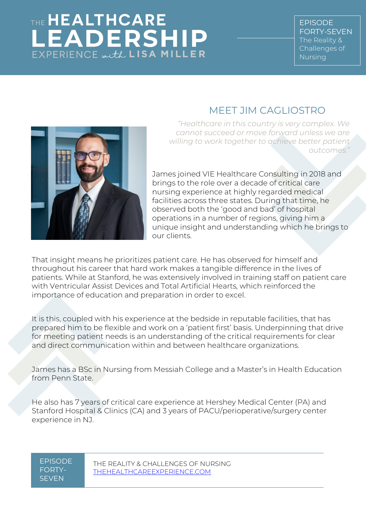## MEET JIM CAGLIOSTRO



*"Healthcare in this country is very complex. We cannot succeed or move forward unless we are willing to work together to achieve better patient outcomes.*"

James joined VIE Healthcare Consulting in 2018 and brings to the role over a decade of critical care nursing experience at highly regarded medical facilities across three states. During that time, he observed both the 'good and bad' of hospital operations in a number of regions, giving him a unique insight and understanding which he brings to our clients.

That insight means he prioritizes patient care. He has observed for himself and throughout his career that hard work makes a tangible difference in the lives of patients. While at Stanford, he was extensively involved in training staff on patient care with Ventricular Assist Devices and Total Artificial Hearts, which reinforced the importance of education and preparation in order to excel.

It is this, coupled with his experience at the bedside in reputable facilities, that has prepared him to be flexible and work on a 'patient first' basis. Underpinning that drive for meeting patient needs is an understanding of the critical requirements for clear and direct communication within and between healthcare organizations.

James has a BSc in Nursing from Messiah College and a Master's in Health Education from Penn State.

He also has 7 years of critical care experience at Hershey Medical Center (PA) and Stanford Hospital & Clinics (CA) and 3 years of PACU/perioperative/surgery center experience in NJ.

EPISODE FORTY-SEVEN